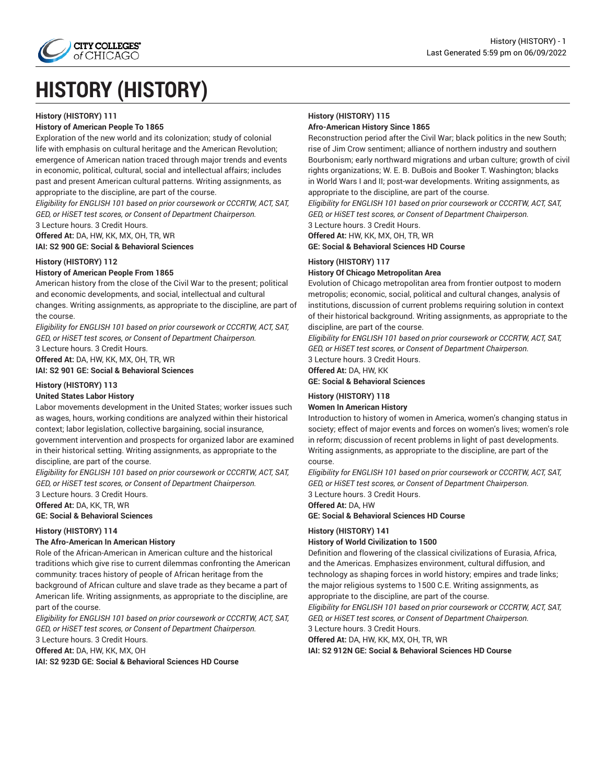

# **HISTORY (HISTORY)**

### **History (HISTORY) 111**

### **History of American People To 1865**

Exploration of the new world and its colonization; study of colonial life with emphasis on cultural heritage and the American Revolution; emergence of American nation traced through major trends and events in economic, political, cultural, social and intellectual affairs; includes past and present American cultural patterns. Writing assignments, as appropriate to the discipline, are part of the course.

*Eligibility for ENGLISH 101 based on prior coursework or CCCRTW, ACT, SAT, GED, or HiSET test scores, or Consent of Department Chairperson.*

3 Lecture hours. 3 Credit Hours.

**Offered At:** DA, HW, KK, MX, OH, TR, WR **IAI: S2 900 GE: Social & Behavioral Sciences**

**History (HISTORY) 112**

### **History of American People From 1865**

American history from the close of the Civil War to the present; political and economic developments, and social, intellectual and cultural changes. Writing assignments, as appropriate to the discipline, are part of the course.

*Eligibility for ENGLISH 101 based on prior coursework or CCCRTW, ACT, SAT, GED, or HiSET test scores, or Consent of Department Chairperson.*

3 Lecture hours. 3 Credit Hours.

**Offered At:** DA, HW, KK, MX, OH, TR, WR

**IAI: S2 901 GE: Social & Behavioral Sciences**

### **History (HISTORY) 113**

#### **United States Labor History**

Labor movements development in the United States; worker issues such as wages, hours, working conditions are analyzed within their historical context; labor legislation, collective bargaining, social insurance, government intervention and prospects for organized labor are examined in their historical setting. Writing assignments, as appropriate to the discipline, are part of the course.

*Eligibility for ENGLISH 101 based on prior coursework or CCCRTW, ACT, SAT, GED, or HiSET test scores, or Consent of Department Chairperson.* 3 Lecture hours. 3 Credit Hours.

**Offered At:** DA, KK, TR, WR

### **GE: Social & Behavioral Sciences**

### **History (HISTORY) 114**

### **The Afro-American In American History**

Role of the African-American in American culture and the historical traditions which give rise to current dilemmas confronting the American community: traces history of people of African heritage from the background of African culture and slave trade as they became a part of American life. Writing assignments, as appropriate to the discipline, are part of the course.

*Eligibility for ENGLISH 101 based on prior coursework or CCCRTW, ACT, SAT, GED, or HiSET test scores, or Consent of Department Chairperson.*

3 Lecture hours. 3 Credit Hours. **Offered At:** DA, HW, KK, MX, OH

**IAI: S2 923D GE: Social & Behavioral Sciences HD Course**

# **History (HISTORY) 115**

### **Afro-American History Since 1865**

Reconstruction period after the Civil War; black politics in the new South; rise of Jim Crow sentiment; alliance of northern industry and southern Bourbonism; early northward migrations and urban culture; growth of civil rights organizations; W. E. B. DuBois and Booker T. Washington; blacks in World Wars I and II; post-war developments. Writing assignments, as appropriate to the discipline, are part of the course.

*Eligibility for ENGLISH 101 based on prior coursework or CCCRTW, ACT, SAT, GED, or HiSET test scores, or Consent of Department Chairperson.* 3 Lecture hours. 3 Credit Hours.

**Offered At:** HW, KK, MX, OH, TR, WR

**GE: Social & Behavioral Sciences HD Course**

### **History (HISTORY) 117**

### **History Of Chicago Metropolitan Area**

Evolution of Chicago metropolitan area from frontier outpost to modern metropolis; economic, social, political and cultural changes, analysis of institutions, discussion of current problems requiring solution in context of their historical background. Writing assignments, as appropriate to the discipline, are part of the course.

*Eligibility for ENGLISH 101 based on prior coursework or CCCRTW, ACT, SAT, GED, or HiSET test scores, or Consent of Department Chairperson.* 3 Lecture hours. 3 Credit Hours.

**Offered At:** DA, HW, KK

### **GE: Social & Behavioral Sciences**

### **History (HISTORY) 118 Women In American History**

Introduction to history of women in America, women's changing status in society; effect of major events and forces on women's lives; women's role in reform; discussion of recent problems in light of past developments. Writing assignments, as appropriate to the discipline, are part of the course.

*Eligibility for ENGLISH 101 based on prior coursework or CCCRTW, ACT, SAT, GED, or HiSET test scores, or Consent of Department Chairperson.*

3 Lecture hours. 3 Credit Hours.

### **Offered At:** DA, HW

**GE: Social & Behavioral Sciences HD Course**

#### **History (HISTORY) 141**

#### **History of World Civilization to 1500**

Definition and flowering of the classical civilizations of Eurasia, Africa, and the Americas. Emphasizes environment, cultural diffusion, and technology as shaping forces in world history; empires and trade links; the major religious systems to 1500 C.E. Writing assignments, as appropriate to the discipline, are part of the course.

*Eligibility for ENGLISH 101 based on prior coursework or CCCRTW, ACT, SAT, GED, or HiSET test scores, or Consent of Department Chairperson.*

3 Lecture hours. 3 Credit Hours.

**Offered At:** DA, HW, KK, MX, OH, TR, WR **IAI: S2 912N GE: Social & Behavioral Sciences HD Course**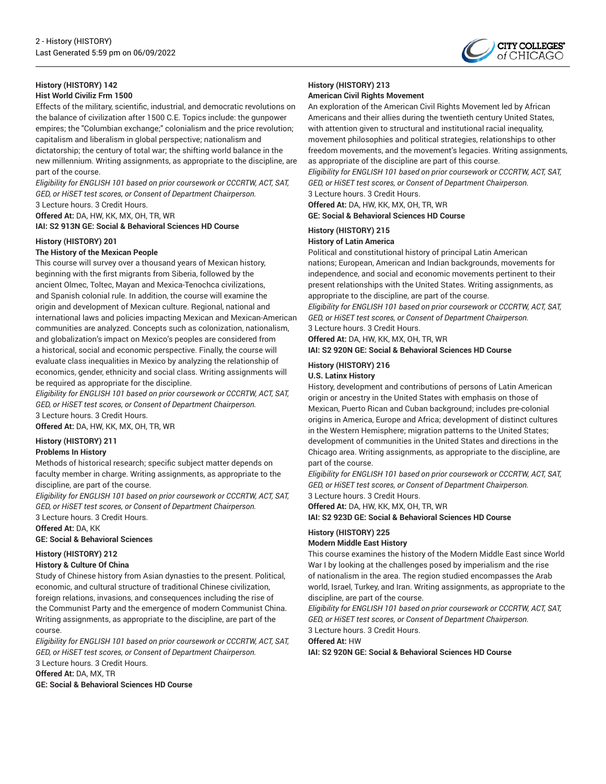

# **History (HISTORY) 142**

**Hist World Civiliz Frm 1500**

Effects of the military, scientific, industrial, and democratic revolutions on the balance of civilization after 1500 C.E. Topics include: the gunpower empires; the "Columbian exchange;" colonialism and the price revolution; capitalism and liberalism in global perspective; nationalism and dictatorship; the century of total war; the shifting world balance in the new millennium. Writing assignments, as appropriate to the discipline, are part of the course.

*Eligibility for ENGLISH 101 based on prior coursework or CCCRTW, ACT, SAT, GED, or HiSET test scores, or Consent of Department Chairperson.* 3 Lecture hours. 3 Credit Hours.

**Offered At:** DA, HW, KK, MX, OH, TR, WR

**IAI: S2 913N GE: Social & Behavioral Sciences HD Course**

### **History (HISTORY) 201**

### **The History of the Mexican People**

This course will survey over a thousand years of Mexican history, beginning with the first migrants from Siberia, followed by the ancient Olmec, Toltec, Mayan and Mexica-Tenochca civilizations, and Spanish colonial rule. In addition, the course will examine the origin and development of Mexican culture. Regional, national and international laws and policies impacting Mexican and Mexican-American communities are analyzed. Concepts such as colonization, nationalism, and globalization's impact on Mexico's peoples are considered from a historical, social and economic perspective. Finally, the course will evaluate class inequalities in Mexico by analyzing the relationship of economics, gender, ethnicity and social class. Writing assignments will be required as appropriate for the discipline.

*Eligibility for ENGLISH 101 based on prior coursework or CCCRTW, ACT, SAT, GED, or HiSET test scores, or Consent of Department Chairperson.* 3 Lecture hours. 3 Credit Hours.

**Offered At:** DA, HW, KK, MX, OH, TR, WR

### **History (HISTORY) 211**

### **Problems In History**

Methods of historical research; specific subject matter depends on faculty member in charge. Writing assignments, as appropriate to the discipline, are part of the course.

*Eligibility for ENGLISH 101 based on prior coursework or CCCRTW, ACT, SAT, GED, or HiSET test scores, or Consent of Department Chairperson.*

3 Lecture hours. 3 Credit Hours.

**Offered At:** DA, KK

**GE: Social & Behavioral Sciences**

### **History (HISTORY) 212**

### **History & Culture Of China**

Study of Chinese history from Asian dynasties to the present. Political, economic, and cultural structure of traditional Chinese civilization, foreign relations, invasions, and consequences including the rise of the Communist Party and the emergence of modern Communist China. Writing assignments, as appropriate to the discipline, are part of the course.

*Eligibility for ENGLISH 101 based on prior coursework or CCCRTW, ACT, SAT, GED, or HiSET test scores, or Consent of Department Chairperson.* 3 Lecture hours. 3 Credit Hours.

**Offered At:** DA, MX, TR

**GE: Social & Behavioral Sciences HD Course**

### **History (HISTORY) 213 American Civil Rights Movement**

An exploration of the American Civil Rights Movement led by African Americans and their allies during the twentieth century United States, with attention given to structural and institutional racial inequality, movement philosophies and political strategies, relationships to other freedom movements, and the movement's legacies. Writing assignments, as appropriate of the discipline are part of this course.

*Eligibility for ENGLISH 101 based on prior coursework or CCCRTW, ACT, SAT, GED, or HiSET test scores, or Consent of Department Chairperson.* 3 Lecture hours. 3 Credit Hours.

**Offered At:** DA, HW, KK, MX, OH, TR, WR **GE: Social & Behavioral Sciences HD Course**

### **History (HISTORY) 215**

### **History of Latin America**

Political and constitutional history of principal Latin American nations; European, American and Indian backgrounds, movements for independence, and social and economic movements pertinent to their present relationships with the United States. Writing assignments, as appropriate to the discipline, are part of the course.

*Eligibility for ENGLISH 101 based on prior coursework or CCCRTW, ACT, SAT, GED, or HiSET test scores, or Consent of Department Chairperson.* 3 Lecture hours. 3 Credit Hours.

**Offered At:** DA, HW, KK, MX, OH, TR, WR

**IAI: S2 920N GE: Social & Behavioral Sciences HD Course**

### **History (HISTORY) 216**

### **U.S. Latinx History**

History, development and contributions of persons of Latin American origin or ancestry in the United States with emphasis on those of Mexican, Puerto Rican and Cuban background; includes pre-colonial origins in America, Europe and Africa; development of distinct cultures in the Western Hemisphere; migration patterns to the United States; development of communities in the United States and directions in the Chicago area. Writing assignments, as appropriate to the discipline, are part of the course.

*Eligibility for ENGLISH 101 based on prior coursework or CCCRTW, ACT, SAT, GED, or HiSET test scores, or Consent of Department Chairperson.*

3 Lecture hours. 3 Credit Hours.

**Offered At:** DA, HW, KK, MX, OH, TR, WR

### **IAI: S2 923D GE: Social & Behavioral Sciences HD Course**

### **History (HISTORY) 225**

### **Modern Middle East History**

This course examines the history of the Modern Middle East since World War I by looking at the challenges posed by imperialism and the rise of nationalism in the area. The region studied encompasses the Arab world, Israel, Turkey, and Iran. Writing assignments, as appropriate to the discipline, are part of the course.

*Eligibility for ENGLISH 101 based on prior coursework or CCCRTW, ACT, SAT, GED, or HiSET test scores, or Consent of Department Chairperson.* 3 Lecture hours. 3 Credit Hours.

# **Offered At:** HW

**IAI: S2 920N GE: Social & Behavioral Sciences HD Course**